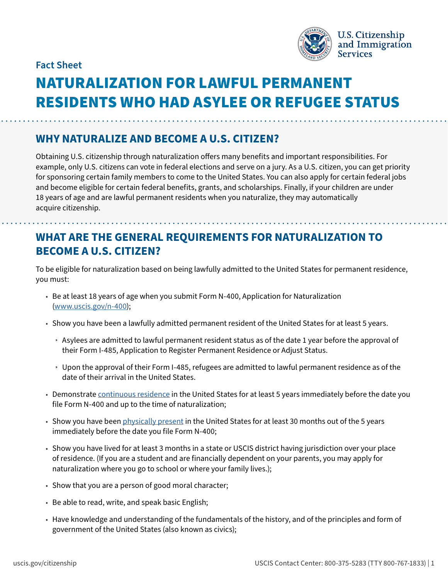

**Fact Sheet**

# NATURALIZATION FOR LAWFUL PERMANENT RESIDENTS WHO HAD ASYLEE OR REFUGEE STATUS

#### **WHY NATURALIZE AND BECOME A U.S. CITIZEN?**

Obtaining U.S. citizenship through naturalization offers many benefits and important responsibilities. For example, only U.S. citizens can vote in federal elections and serve on a jury. As a U.S. citizen, you can get priority for sponsoring certain family members to come to the United States. You can also apply for certain federal jobs and become eligible for certain federal benefits, grants, and scholarships. Finally, if your children are under 18 years of age and are lawful permanent residents when you naturalize, they may automatically acquire citizenship.

### **WHAT ARE THE GENERAL REQUIREMENTS FOR NATURALIZATION TO BECOME A U.S. CITIZEN?**

To be eligible for naturalization based on being lawfully admitted to the United States for permanent residence, you must:

- Be at least 18 years of age when you submit Form N-400, Application for Naturalization ([www.uscis.gov/n-400](http://www.uscis.gov/n-400));
- Show you have been a lawfully admitted permanent resident of the United States for at least 5 years.
	- » Asylees are admitted to lawful permanent resident status as of the date 1 year before the approval of their Form I-485, Application to Register Permanent Residence or Adjust Status.
	- » Upon the approval of their Form I-485, refugees are admitted to lawful permanent residence as of the date of their arrival in the United States.
- Demonstrate [continuous residence](https://www.uscis.gov/policy-manual/volume-12-part-d-chapter-3) in the United States for at least 5 years immediately before the date you file Form N-400 and up to the time of naturalization;
- Show you have been [physically present](https://www.uscis.gov/policy-manual/volume-12-part-d-chapter-4) in the United States for at least 30 months out of the 5 years immediately before the date you file Form N-400;
- Show you have lived for at least 3 months in a state or USCIS district having jurisdiction over your place of residence. (If you are a student and are financially dependent on your parents, you may apply for naturalization where you go to school or where your family lives.);
- Show that you are a person of good moral character;
- Be able to read, write, and speak basic English;
- Have knowledge and understanding of the fundamentals of the history, and of the principles and form of government of the United States (also known as civics);